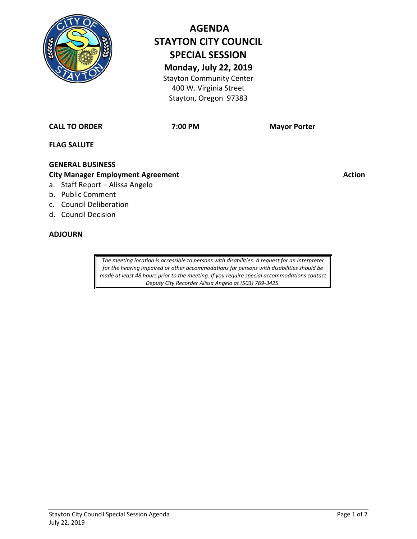

# **AGENDA STAYTON CITY COUNCIL SPECIAL SESSION Monday, July 22, 2019**

Stayton Community Center 400 W. Virginia Street Stayton, Oregon 97383

**CALL TO ORDER 7:00 PM Mayor Porter**

**FLAG SALUTE**

## **GENERAL BUSINESS**

### **City Manager Employment Agreement Action Action Action Action**

- a. Staff Report Alissa Angelo
- b. Public Comment
- c. Council Deliberation
- d. Council Decision

#### **ADJOURN**

*The meeting location is accessible to persons with disabilities. A request for an interpreter for the hearing impaired or other accommodations for persons with disabilities should be made at least 48 hours prior to the meeting. If you require special accommodations contact Deputy City Recorder Alissa Angelo at (503) 769-3425.*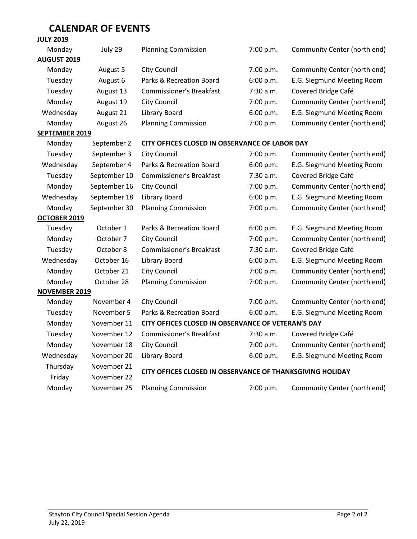#### **CALENDAR OF EVENTS JULY 2019**

| <b>JOFI SATA</b>      |              |                                                           |           |                              |
|-----------------------|--------------|-----------------------------------------------------------|-----------|------------------------------|
| Monday                | July 29      | <b>Planning Commission</b>                                | 7:00 p.m. | Community Center (north end) |
| <b>AUGUST 2019</b>    |              |                                                           |           |                              |
| Monday                | August 5     | City Council                                              | 7:00 p.m. | Community Center (north end) |
| Tuesday               | August 6     | Parks & Recreation Board                                  | 6:00 p.m. | E.G. Siegmund Meeting Room   |
| Tuesday               | August 13    | <b>Commissioner's Breakfast</b>                           | 7:30 a.m. | Covered Bridge Café          |
| Monday                | August 19    | City Council                                              | 7:00 p.m. | Community Center (north end) |
| Wednesday             | August 21    | <b>Library Board</b>                                      | 6:00 p.m. | E.G. Siegmund Meeting Room   |
| Monday                | August 26    | <b>Planning Commission</b>                                | 7:00 p.m. | Community Center (north end) |
| <b>SEPTEMBER 2019</b> |              |                                                           |           |                              |
| Monday                | September 2  | CITY OFFICES CLOSED IN OBSERVANCE OF LABOR DAY            |           |                              |
| Tuesday               | September 3  | <b>City Council</b>                                       | 7:00 p.m. | Community Center (north end) |
| Wednesday             | September 4  | Parks & Recreation Board                                  | 6:00 p.m. | E.G. Siegmund Meeting Room   |
| Tuesday               | September 10 | <b>Commissioner's Breakfast</b>                           | 7:30 a.m. | Covered Bridge Café          |
| Monday                | September 16 | City Council                                              | 7:00 p.m. | Community Center (north end) |
| Wednesday             | September 18 | Library Board                                             | 6:00 p.m. | E.G. Siegmund Meeting Room   |
| Monday                | September 30 | <b>Planning Commission</b>                                | 7:00 p.m. | Community Center (north end) |
| OCTOBER 2019          |              |                                                           |           |                              |
| Tuesday               | October 1    | Parks & Recreation Board                                  | 6:00 p.m. | E.G. Siegmund Meeting Room   |
| Monday                | October 7    | <b>City Council</b>                                       | 7:00 p.m. | Community Center (north end) |
| Tuesday               | October 8    | <b>Commissioner's Breakfast</b>                           | 7:30 a.m. | Covered Bridge Café          |
| Wednesday             | October 16   | Library Board                                             | 6:00 p.m. | E.G. Siegmund Meeting Room   |
| Monday                | October 21   | City Council                                              | 7:00 p.m. | Community Center (north end) |
| Monday                | October 28   | <b>Planning Commission</b>                                | 7:00 p.m. | Community Center (north end) |
| <b>NOVEMBER 2019</b>  |              |                                                           |           |                              |
| Monday                | November 4   | <b>City Council</b>                                       | 7:00 p.m. | Community Center (north end) |
| Tuesday               | November 5   | Parks & Recreation Board                                  | 6:00 p.m. | E.G. Siegmund Meeting Room   |
| Monday                | November 11  | CITY OFFICES CLOSED IN OBSERVANCE OF VETERAN'S DAY        |           |                              |
| Tuesday               | November 12  | Commissioner's Breakfast                                  | 7:30 a.m. | Covered Bridge Café          |
| Monday                | November 18  | <b>City Council</b>                                       | 7:00 p.m. | Community Center (north end) |
| Wednesday             | November 20  | <b>Library Board</b>                                      | 6:00 p.m. | E.G. Siegmund Meeting Room   |
| Thursday              | November 21  | CITY OFFICES CLOSED IN OBSERVANCE OF THANKSGIVING HOLIDAY |           |                              |
| Friday                | November 22  |                                                           |           |                              |
| Monday                | November 25  | <b>Planning Commission</b>                                | 7:00 p.m. | Community Center (north end) |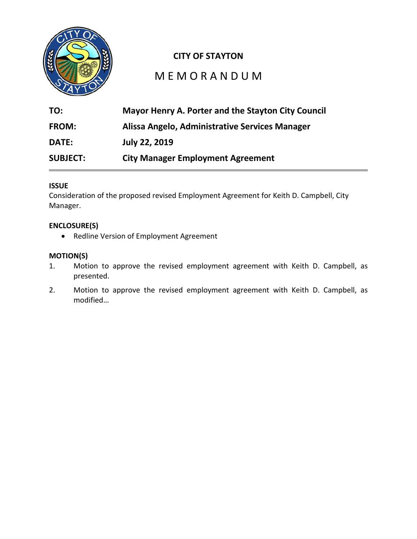

## **CITY OF STAYTON**

## M E M O R A N D U M

| TO:             | Mayor Henry A. Porter and the Stayton City Council |  |  |
|-----------------|----------------------------------------------------|--|--|
| <b>FROM:</b>    | Alissa Angelo, Administrative Services Manager     |  |  |
| <b>DATE:</b>    | <b>July 22, 2019</b>                               |  |  |
| <b>SUBJECT:</b> | <b>City Manager Employment Agreement</b>           |  |  |

#### **ISSUE**

Consideration of the proposed revised Employment Agreement for Keith D. Campbell, City Manager.

#### **ENCLOSURE(S)**

• Redline Version of Employment Agreement

#### **MOTION(S)**

- 1. Motion to approve the revised employment agreement with Keith D. Campbell, as presented.
- 2. Motion to approve the revised employment agreement with Keith D. Campbell, as modified…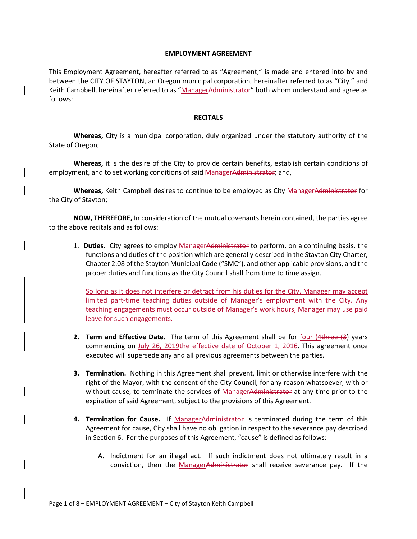#### **EMPLOYMENT AGREEMENT**

This Employment Agreement, hereafter referred to as "Agreement," is made and entered into by and between the CITY OF STAYTON, an Oregon municipal corporation, hereinafter referred to as "City," and Keith Campbell, hereinafter referred to as "ManagerAdministrator" both whom understand and agree as follows:

#### **RECITALS**

**Whereas,** City is a municipal corporation, duly organized under the statutory authority of the State of Oregon;

**Whereas,** it is the desire of the City to provide certain benefits, establish certain conditions of employment, and to set working conditions of said ManagerAdministrator; and,

**Whereas,** Keith Campbell desires to continue to be employed as City ManagerAdministrator for the City of Stayton;

**NOW, THEREFORE,** In consideration of the mutual covenants herein contained, the parties agree to the above recitals and as follows:

1. **Duties.** City agrees to employ ManagerAdministrator to perform, on a continuing basis, the functions and duties of the position which are generally described in the Stayton City Charter, Chapter 2.08 of the Stayton Municipal Code ("SMC"), and other applicable provisions, and the proper duties and functions as the City Council shall from time to time assign.

So long as it does not interfere or detract from his duties for the City, Manager may accept limited part-time teaching duties outside of Manager's employment with the City. Any teaching engagements must occur outside of Manager's work hours, Manager may use paid leave for such engagements.

- **2. Term and Effective Date.** The term of this Agreement shall be for four (4three (3) years commencing on July 26, 2019the effective date of October 1, 2016. This agreement once executed will supersede any and all previous agreements between the parties.
- **3. Termination.** Nothing in this Agreement shall prevent, limit or otherwise interfere with the right of the Mayor, with the consent of the City Council, for any reason whatsoever, with or without cause, to terminate the services of ManagerAdministrator at any time prior to the expiration of said Agreement, subject to the provisions of this Agreement.
- **4. Termination for Cause.** If ManagerAdministrator is terminated during the term of this Agreement for cause, City shall have no obligation in respect to the severance pay described in Section 6. For the purposes of this Agreement, "cause" is defined as follows:
	- A. Indictment for an illegal act. If such indictment does not ultimately result in a conviction, then the ManagerAdministrator shall receive severance pay. If the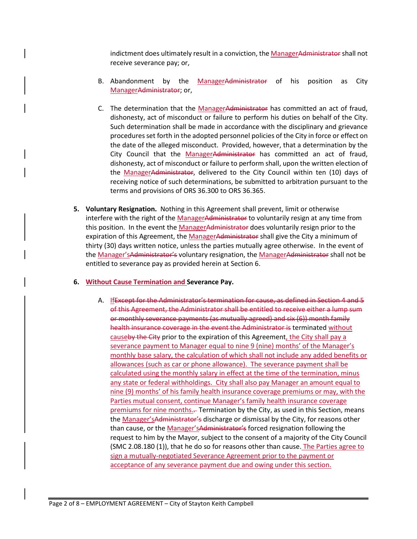indictment does ultimately result in a conviction, the ManagerAdministrator shall not receive severance pay; or,

- B. Abandonment by the ManagerAdministrator of his position as City ManagerAdministrator; or,
- C. The determination that the ManagerAdministrator has committed an act of fraud, dishonesty, act of misconduct or failure to perform his duties on behalf of the City. Such determination shall be made in accordance with the disciplinary and grievance procedures set forth in the adopted personnel policies of the City in force or effect on the date of the alleged misconduct. Provided, however, that a determination by the City Council that the ManagerAdministrator has committed an act of fraud, dishonesty, act of misconduct or failure to perform shall, upon the written election of the ManagerAdministrator, delivered to the City Council within ten (10) days of receiving notice of such determinations, be submitted to arbitration pursuant to the terms and provisions of ORS 36.300 to ORS 36.365.
- **5. Voluntary Resignation.** Nothing in this Agreement shall prevent, limit or otherwise interfere with the right of the ManagerAdministrator to voluntarily resign at any time from this position. In the event the ManagerAdministrator does voluntarily resign prior to the expiration of this Agreement, the ManagerAdministrator shall give the City a minimum of thirty (30) days written notice, unless the parties mutually agree otherwise. In the event of the Manager's Administrator's voluntary resignation, the Manager Administrator shall not be entitled to severance pay as provided herein at Section 6.
- **6. Without Cause Termination and Severance Pay.**
	- A. IfExcept for the Administrator's termination for cause, as defined in Section 4 and 5 of this Agreement, the Administrator shall be entitled to receive either a lump sum or monthly severance payments (as mutually agreed) and six (6)) month family health insurance coverage in the event the Administrator is terminated without causeby the City prior to the expiration of this Agreement, the City shall pay a severance payment to Manager equal to nine 9 (nine) months' of the Manager's monthly base salary, the calculation of which shall not include any added benefits or allowances (such as car or phone allowance). The severance payment shall be calculated using the monthly salary in effect at the time of the termination, minus any state or federal withholdings. City shall also pay Manager an amount equal to nine (9) months' of his family health insurance coverage premiums or may, with the Parties mutual consent, continue Manager's family health insurance coverage premiums for nine months.. Termination by the City, as used in this Section, means the Manager's Administrator's discharge or dismissal by the City, for reasons other than cause, or the Manager'sAdministrator's forced resignation following the request to him by the Mayor, subject to the consent of a majority of the City Council (SMC 2.08.180 (1)), that he do so for reasons other than cause. The Parties agree to sign a mutually-negotiated Severance Agreement prior to the payment or acceptance of any severance payment due and owing under this section.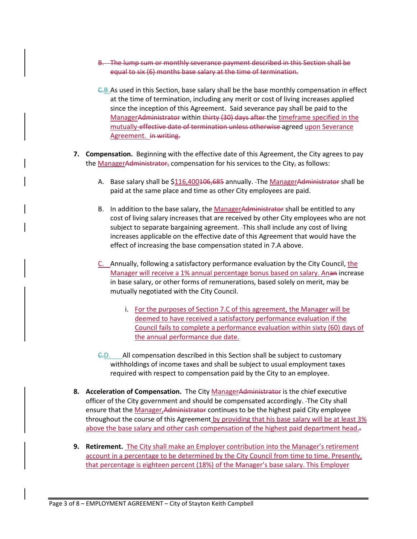- B. The lump sum or monthly severance payment described in this Section shall be equal to six (6) months base salary at the time of termination.
- C.B.As used in this Section, base salary shall be the base monthly compensation in effect at the time of termination, including any merit or cost of living increases applied since the inception of this Agreement. Said severance pay shall be paid to the ManagerAdministrator within thirty (30) days after the timeframe specified in the mutually-effective date of termination unless otherwise agreed upon Severance Agreement. in writing.
- **7. Compensation.** Beginning with the effective date of this Agreement, the City agrees to pay the **ManagerAdministrator,** compensation for his services to the City<sub>7</sub> as follows:
	- A. Base salary shall be \$116,400<del>106,685</del> annually. The ManagerAdministrator shall be paid at the same place and time as other City employees are paid.
	- B. In addition to the base salary, the ManagerAdministrator shall be entitled to any cost of living salary increases that are received by other City employees who are not subject to separate bargaining agreement. This shall include any cost of living increases applicable on the effective date of this Agreement that would have the effect of increasing the base compensation stated in 7.A above.
	- C. Annually, following a satisfactory performance evaluation by the City Council, the Manager will receive a 1% annual percentage bonus based on salary. Anan increase in base salary, or other forms of remunerations, based solely on merit, may be mutually negotiated with the City Council.
		- i. For the purposes of Section 7.C of this agreement, the Manager will be deemed to have received a satisfactory performance evaluation if the Council fails to complete a performance evaluation within sixty (60) days of the annual performance due date.
	- C.D. All compensation described in this Section shall be subject to customary withholdings of income taxes and shall be subject to usual employment taxes required with respect to compensation paid by the City to an employee.
- **8. Acceleration of Compensation.** The City ManagerAdministrator is the chief executive officer of the City government and should be compensated accordingly. The City shall ensure that the Manager, Administrator continues to be the highest paid City employee throughout the course of this Agreement by providing that his base salary will be at least 3% above the base salary and other cash compensation of the highest paid department head. $\frac{1}{2}$
- **9. Retirement.** The City shall make an Employer contribution into the Manager's retirement account in a percentage to be determined by the City Council from time to time. Presently, that percentage is eighteen percent (18%) of the Manager's base salary. This Employer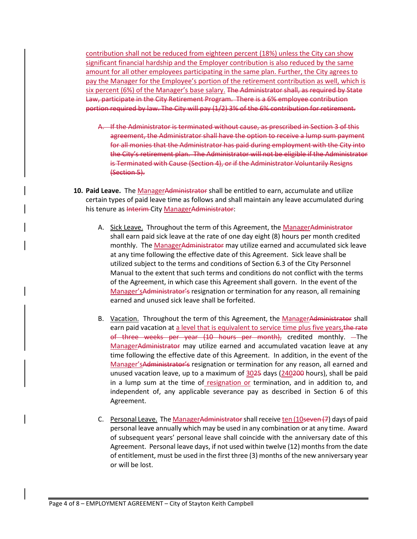contribution shall not be reduced from eighteen percent (18%) unless the City can show significant financial hardship and the Employer contribution is also reduced by the same amount for all other employees participating in the same plan. Further, the City agrees to pay the Manager for the Employee's portion of the retirement contribution as well, which is six percent (6%) of the Manager's base salary. The Administrator shall, as required by State Law, participate in the City Retirement Program. There is a 6% employee contribution portion required by law. The City will pay (1/2) 3% of the 6% contribution for retirement.

- A. If the Administrator is terminated without cause, as prescribed in Section 3 of this agreement, the Administrator shall have the option to receive a lump sum payment for all monies that the Administrator has paid during employment with the City into the City's retirement plan. The Administrator will not be eligible if the Administrator is Terminated with Cause (Section 4), or if the Administrator Voluntarily Resigns (Section 5).
- 10. Paid Leave. The ManagerAdministrator shall be entitled to earn, accumulate and utilize certain types of paid leave time as follows and shall maintain any leave accumulated during his tenure as Interim City ManagerAdministrator:
	- A. Sick Leave. Throughout the term of this Agreement, the ManagerAdministrator shall earn paid sick leave at the rate of one day eight (8) hours per month credited monthly. The ManagerAdministrator may utilize earned and accumulated sick leave at any time following the effective date of this Agreement. Sick leave shall be utilized subject to the terms and conditions of Section 6.3 of the City Personnel Manual to the extent that such terms and conditions do not conflict with the terms of the Agreement, in which case this Agreement shall govern. In the event of the Manager'sAdministrator's resignation or termination for any reason, all remaining earned and unused sick leave shall be forfeited.
	- B. Vacation. Throughout the term of this Agreement, the ManagerAdministrator shall earn paid vacation at a level that is equivalent to service time plus five years, the rate of three weeks per year (10 hours per month), credited monthly. The ManagerAdministrator may utilize earned and accumulated vacation leave at any time following the effective date of this Agreement. In addition, in the event of the Manager'sAdministrator's resignation or termination for any reason, all earned and unused vacation leave, up to a maximum of 3025 days (240200 hours), shall be paid in a lump sum at the time of resignation or termination, and in addition to, and independent of, any applicable severance pay as described in Section 6 of this Agreement.
	- C. Personal Leave. The ManagerAdministrator shall receive ten (10seven (7) days of paid personal leave annually which may be used in any combination or at any time. Award of subsequent years' personal leave shall coincide with the anniversary date of this Agreement. Personal leave days, if not used within twelve (12) months from the date of entitlement, must be used in the first three (3) months of the new anniversary year or will be lost.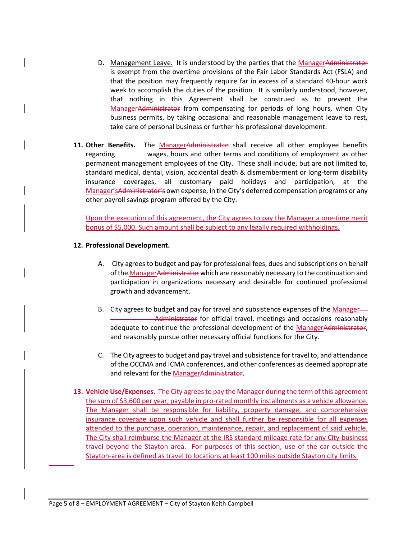- D. Management Leave. It is understood by the parties that the ManagerAdministrator is exempt from the overtime provisions of the Fair Labor Standards Act (FSLA) and that the position may frequently require far in excess of a standard 40-hour work week to accomplish the duties of the position. It is similarly understood, however, that nothing in this Agreement shall be construed as to prevent the ManagerAdministrator from compensating for periods of long hours, when City business permits, by taking occasional and reasonable management leave to rest, take care of personal business or further his professional development.
- 11. Other Benefits. The ManagerAdministrator shall receive all other employee benefits regarding wages, hours and other terms and conditions of employment as other permanent management employees of the City. These shall include, but are not limited to, standard medical, dental, vision, accidental death & dismemberment or long-term disability insurance coverages, all customary paid holidays and participation, at the Manager'sAdministrator's own expense, in the City's deferred compensation programs or any other payroll savings program offered by the City.

Upon the execution of this agreement, the City agrees to pay the Manager a one-time merit bonus of \$5,000. Such amount shall be subject to any legally required withholdings.

#### **12. Professional Development.**

- A. City agrees to budget and pay for professional fees, dues and subscriptions on behalf of the ManagerAdministrator which are reasonably necessary to the continuation and participation in organizations necessary and desirable for continued professional growth and advancement.
- B. City agrees to budget and pay for travel and subsistence expenses of the Manager— Administrator for official travel, meetings and occasions reasonably adequate to continue the professional development of the ManagerAdministrator, and reasonably pursue other necessary official functions for the City.
- C. The City agrees to budget and pay travel and subsistence for travel to, and attendance of the OCCMA and ICMA conferences, and other conferences as deemed appropriate and relevant for the ManagerAdministrator.
- **13. Vehicle Use/Expenses.** The City agrees to pay the Manager during the term of this agreement the sum of \$3,600 per year, payable in pro-rated monthly installments as a vehicle allowance. The Manager shall be responsible for liability, property damage, and comprehensive insurance coverage upon such vehicle and shall further be responsible for all expenses attended to the purchase, operation, maintenance, repair, and replacement of said vehicle. The City shall reimburse the Manager at the IRS standard mileage rate for any City-business travel beyond the Stayton area. For purposes of this section, use of the car outside the Stayton-area is defined as travel to locations at least 100 miles outside Stayton city limits.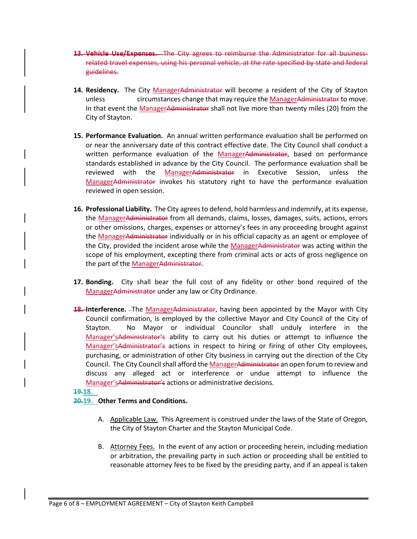- **13. Vehicle Use/Expenses.** The City agrees to reimburse the Administrator for all businessrelated travel expenses, using his personal vehicle, at the rate specified by state and federal guidelines.
- 14. Residency. The City ManagerAdministrator will become a resident of the City of Stayton unless circumstances change that may require the ManagerAdministrator to move. In that event the ManagerAdministrator shall not live more than twenty miles (20) from the City of Stayton.
- **15. Performance Evaluation.** An annual written performance evaluation shall be performed on or near the anniversary date of this contract effective date. The City Council shall conduct a written performance evaluation of the ManagerAdministrator, based on performance standards established in advance by the City Council. The performance evaluation shall be reviewed with the ManagerAdministrator in Executive Session, unless the ManagerAdministrator invokes his statutory right to have the performance evaluation reviewed in open session.
- **16. Professional Liability.** The City agrees to defend, hold harmless and indemnify, at its expense, the ManagerAdministrator from all demands, claims, losses, damages, suits, actions, errors or other omissions, charges, expenses or attorney's fees in any proceeding brought against the ManagerAdministrator individually or in his official capacity as an agent or employee of the City, provided the incident arose while the ManagerAdministrator was acting within the scope of his employment, excepting there from criminal acts or acts of gross negligence on the part of the ManagerAdministrator.
- **17. Bonding.** City shall bear the full cost of any fidelity or other bond required of the ManagerAdministrator under any law or City Ordinance.
- **18. Interference.** The ManagerAdministrator, having been appointed by the Mayor with City Council confirmation, is employed by the collective Mayor and City Council of the City of Stayton. No Mayor or individual Councilor shall unduly interfere in the Manager'sAdministrator's ability to carry out his duties or attempt to influence the Manager'sAdministrator's actions in respect to hiring or firing of other City employees, purchasing, or administration of other City business in carrying out the direction of the City Council. The City Council shall afford the ManagerAdministrator an open forum to review and discuss any alleged act or interference or undue attempt to influence the Manager'sAdministrator's actions or administrative decisions.

#### **19.18.**

#### **20.19. Other Terms and Conditions.**

- A. Applicable Law. This Agreement is construed under the laws of the State of Oregon, the City of Stayton Charter and the Stayton Municipal Code.
- B. Attorney Fees. In the event of any action or proceeding herein, including mediation or arbitration, the prevailing party in such action or proceeding shall be entitled to reasonable attorney fees to be fixed by the presiding party, and if an appeal is taken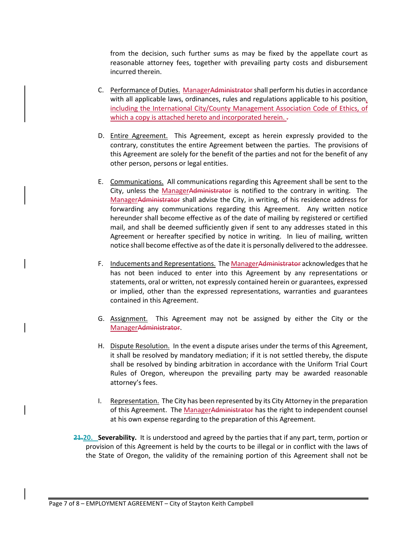from the decision, such further sums as may be fixed by the appellate court as reasonable attorney fees, together with prevailing party costs and disbursement incurred therein.

- C. Performance of Duties. ManagerAdministrator shall perform his duties in accordance with all applicable laws, ordinances, rules and regulations applicable to his position, including the International City/County Management Association Code of Ethics, of which a copy is attached hereto and incorporated herein. .
- D. Entire Agreement. This Agreement, except as herein expressly provided to the contrary, constitutes the entire Agreement between the parties. The provisions of this Agreement are solely for the benefit of the parties and not for the benefit of any other person, persons or legal entities.
- E. Communications. All communications regarding this Agreement shall be sent to the City, unless the ManagerAdministrator is notified to the contrary in writing. The ManagerAdministrator shall advise the City, in writing, of his residence address for forwarding any communications regarding this Agreement. Any written notice hereunder shall become effective as of the date of mailing by registered or certified mail, and shall be deemed sufficiently given if sent to any addresses stated in this Agreement or hereafter specified by notice in writing. In lieu of mailing, written notice shall become effective as of the date it is personally delivered to the addressee.
- F. Inducements and Representations. The ManagerAdministrator acknowledges that he has not been induced to enter into this Agreement by any representations or statements, oral or written, not expressly contained herein or guarantees, expressed or implied, other than the expressed representations, warranties and guarantees contained in this Agreement.
- G. Assignment. This Agreement may not be assigned by either the City or the ManagerAdministrator.
- H. Dispute Resolution. In the event a dispute arises under the terms of this Agreement, it shall be resolved by mandatory mediation; if it is not settled thereby, the dispute shall be resolved by binding arbitration in accordance with the Uniform Trial Court Rules of Oregon, whereupon the prevailing party may be awarded reasonable attorney's fees.
- I. Representation. The City has been represented by its City Attorney in the preparation of this Agreement. The ManagerAdministrator has the right to independent counsel at his own expense regarding to the preparation of this Agreement.
- **21.20. Severability.** It is understood and agreed by the parties that if any part, term, portion or provision of this Agreement is held by the courts to be illegal or in conflict with the laws of the State of Oregon, the validity of the remaining portion of this Agreement shall not be